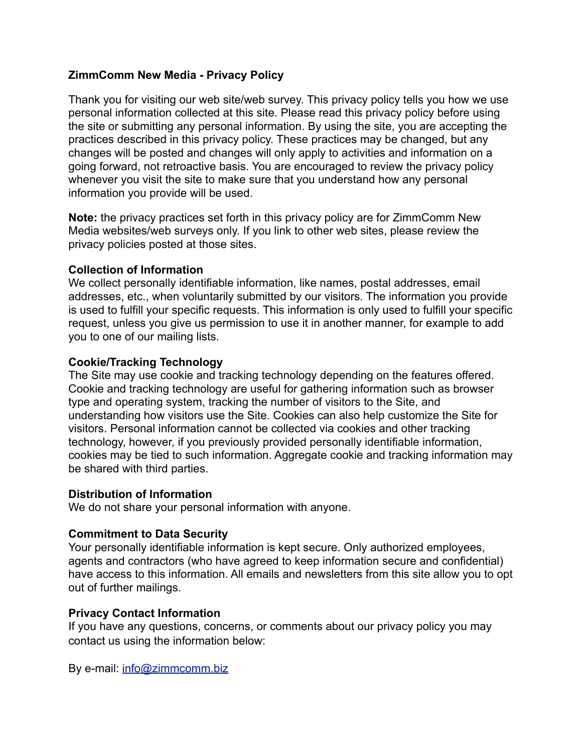# **ZimmComm New Media - Privacy Policy**

Thank you for visiting our web site/web survey. This privacy policy tells you how we use personal information collected at this site. Please read this privacy policy before using the site or submitting any personal information. By using the site, you are accepting the practices described in this privacy policy. These practices may be changed, but any changes will be posted and changes will only apply to activities and information on a going forward, not retroactive basis. You are encouraged to review the privacy policy whenever you visit the site to make sure that you understand how any personal information you provide will be used.

**Note:** the privacy practices set forth in this privacy policy are for ZimmComm New Media websites/web surveys only. If you link to other web sites, please review the privacy policies posted at those sites.

### **Collection of Information**

We collect personally identifiable information, like names, postal addresses, email addresses, etc., when voluntarily submitted by our visitors. The information you provide is used to fulfill your specific requests. This information is only used to fulfill your specific request, unless you give us permission to use it in another manner, for example to add you to one of our mailing lists.

### **Cookie/Tracking Technology**

The Site may use cookie and tracking technology depending on the features offered. Cookie and tracking technology are useful for gathering information such as browser type and operating system, tracking the number of visitors to the Site, and understanding how visitors use the Site. Cookies can also help customize the Site for visitors. Personal information cannot be collected via cookies and other tracking technology, however, if you previously provided personally identifiable information, cookies may be tied to such information. Aggregate cookie and tracking information may be shared with third parties.

#### **Distribution of Information**

We do not share your personal information with anyone.

## **Commitment to Data Security**

Your personally identifiable information is kept secure. Only authorized employees, agents and contractors (who have agreed to keep information secure and confidential) have access to this information. All emails and newsletters from this site allow you to opt out of further mailings.

## **Privacy Contact Information**

If you have any questions, concerns, or comments about our privacy policy you may contact us using the information below:

By e-mail: [info@zimmcomm.biz](mailto:info@zimmcomm.biz)